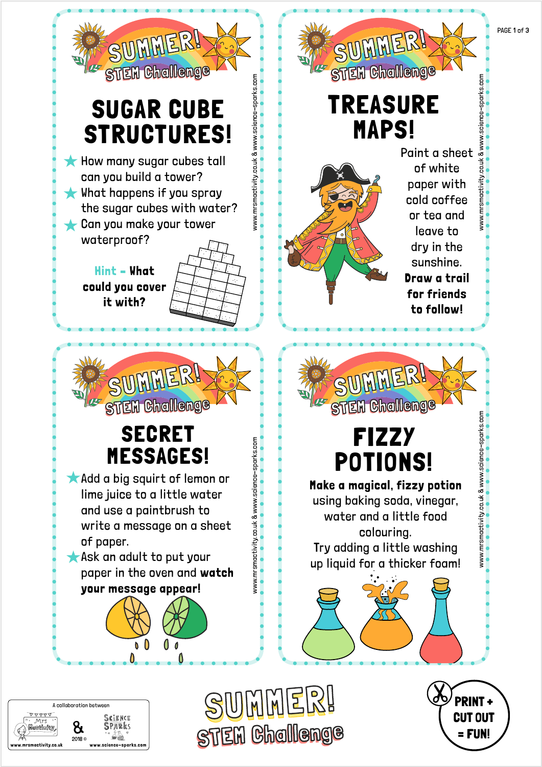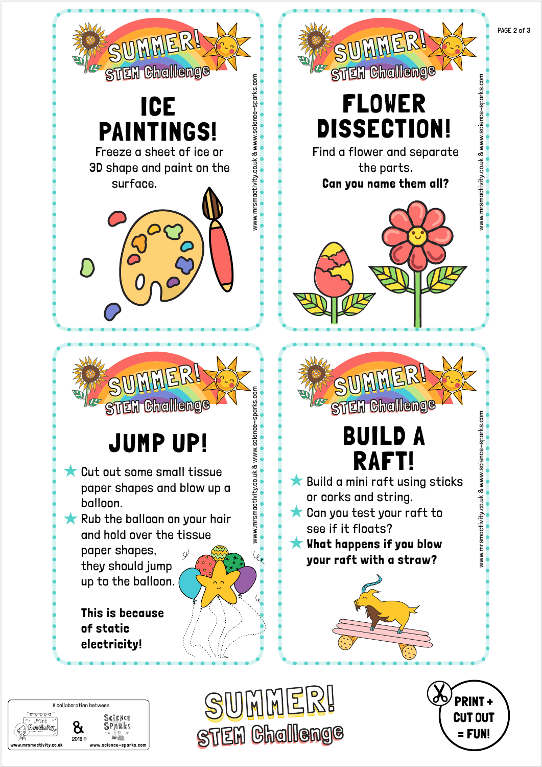

allaboration between the two states of the states of the states of the states of the states of the states of the states of the states of the states of the states of the states of the states of the states of the states of t **CIENCE** &PARKS 2018 © www.mrsmactivity.co.uk www.science-sparks.com STEM Challeng<sup>e</sup> STEM Challeng<sup>e</sup> SUMMER!